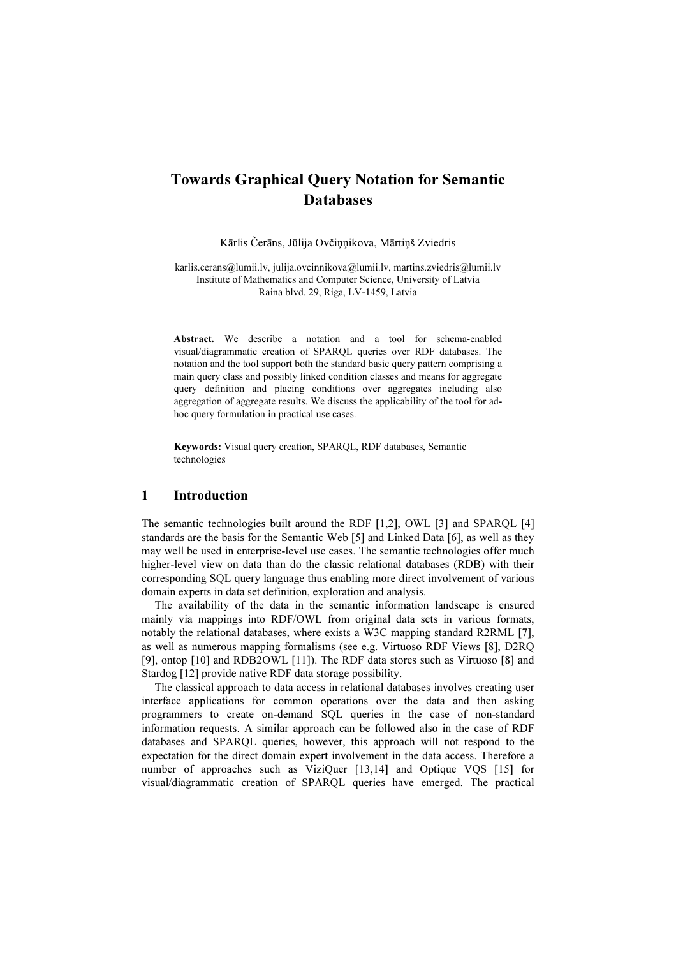# Towards Graphical Query Notation for Semantic **Databases**

### Kārlis Čerāns, Jūlija Ovčiņņikova, Mārtiņš Zviedris

karlis.cerans@lumii.lv, julija.ovcinnikova@lumii.lv, martins.zviedris@lumii.lv Institute of Mathematics and Computer Science, University of Latvia Raina blvd. 29, Riga, LV-1459, Latvia

Abstract. We describe a notation and a tool for schema-enabled visual/diagrammatic creation of SPARQL queries over RDF databases. The notation and the tool support both the standard basic query pattern comprising a main query class and possibly linked condition classes and means for aggregate query definition and placing conditions over aggregates including also aggregation of aggregate results. We discuss the applicability of the tool for adhoc query formulation in practical use cases.

Keywords: Visual query creation, SPARQL, RDF databases, Semantic technologies

## 1 Introduction

The semantic technologies built around the RDF [1,2], OWL [3] and SPARQL [4] standards are the basis for the Semantic Web [5] and Linked Data [6], as well as they may well be used in enterprise-level use cases. The semantic technologies offer much higher-level view on data than do the classic relational databases (RDB) with their corresponding SQL query language thus enabling more direct involvement of various domain experts in data set definition, exploration and analysis.

The availability of the data in the semantic information landscape is ensured mainly via mappings into RDF/OWL from original data sets in various formats, notably the relational databases, where exists a W3C mapping standard R2RML [7], as well as numerous mapping formalisms (see e.g. Virtuoso RDF Views [8], D2RQ [9], ontop [10] and RDB2OWL [11]). The RDF data stores such as Virtuoso [8] and Stardog [12] provide native RDF data storage possibility.

The classical approach to data access in relational databases involves creating user interface applications for common operations over the data and then asking programmers to create on-demand SQL queries in the case of non-standard information requests. A similar approach can be followed also in the case of RDF databases and SPARQL queries, however, this approach will not respond to the expectation for the direct domain expert involvement in the data access. Therefore a number of approaches such as ViziQuer [13,14] and Optique VQS [15] for visual/diagrammatic creation of SPARQL queries have emerged. The practical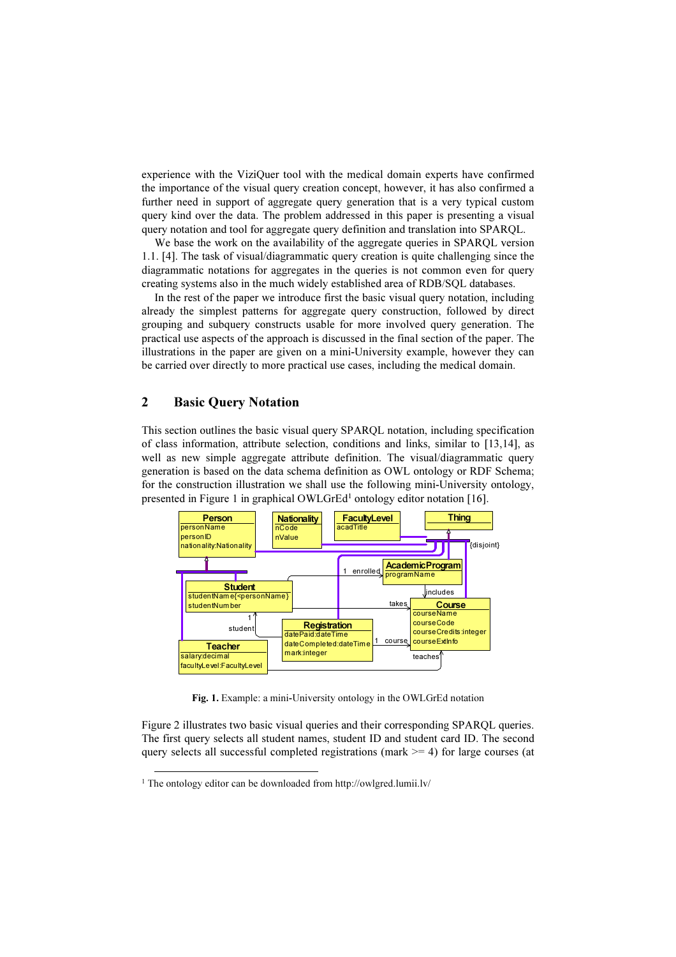experience with the ViziQuer tool with the medical domain experts have confirmed the importance of the visual query creation concept, however, it has also confirmed a further need in support of aggregate query generation that is a very typical custom query kind over the data. The problem addressed in this paper is presenting a visual query notation and tool for aggregate query definition and translation into SPARQL.

We base the work on the availability of the aggregate queries in SPARQL version 1.1. [4]. The task of visual/diagrammatic query creation is quite challenging since the diagrammatic notations for aggregates in the queries is not common even for query creating systems also in the much widely established area of RDB/SQL databases.

In the rest of the paper we introduce first the basic visual query notation, including already the simplest patterns for aggregate query construction, followed by direct grouping and subquery constructs usable for more involved query generation. The practical use aspects of the approach is discussed in the final section of the paper. The illustrations in the paper are given on a mini-University example, however they can be carried over directly to more practical use cases, including the medical domain.

### 2 Basic Query Notation

This section outlines the basic visual query SPARQL notation, including specification of class information, attribute selection, conditions and links, similar to [13,14], as well as new simple aggregate attribute definition. The visual/diagrammatic query generation is based on the data schema definition as OWL ontology or RDF Schema; for the construction illustration we shall use the following mini-University ontology, presented in Figure 1 in graphical OWLGrEd<sup>1</sup> ontology editor notation [16].



Fig. 1. Example: a mini-University ontology in the OWLGrEd notation

Figure 2 illustrates two basic visual queries and their corresponding SPARQL queries. The first query selects all student names, student ID and student card ID. The second query selects all successful completed registrations (mark  $\geq$  4) for large courses (at

l

<sup>&</sup>lt;sup>1</sup> The ontology editor can be downloaded from http://owlgred.lumii.lv/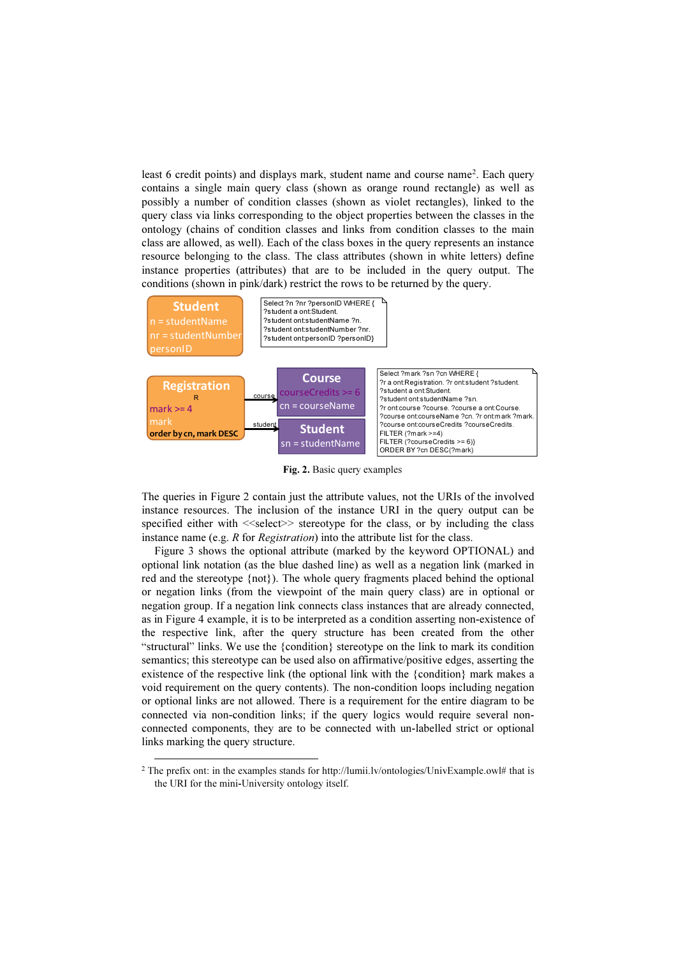least 6 credit points) and displays mark, student name and course name<sup>2</sup>. Each query contains a single main query class (shown as orange round rectangle) as well as possibly a number of condition classes (shown as violet rectangles), linked to the query class via links corresponding to the object properties between the classes in the ontology (chains of condition classes and links from condition classes to the main class are allowed, as well). Each of the class boxes in the query represents an instance resource belonging to the class. The class attributes (shown in white letters) define instance properties (attributes) that are to be included in the query output. The conditions (shown in pink/dark) restrict the rows to be returned by the query.



Fig. 2. Basic query examples

The queries in Figure 2 contain just the attribute values, not the URIs of the involved instance resources. The inclusion of the instance URI in the query output can be specified either with  $\le$ select $\ge$  stereotype for the class, or by including the class instance name (e.g. R for Registration) into the attribute list for the class.

Figure 3 shows the optional attribute (marked by the keyword OPTIONAL) and optional link notation (as the blue dashed line) as well as a negation link (marked in red and the stereotype {not}). The whole query fragments placed behind the optional or negation links (from the viewpoint of the main query class) are in optional or negation group. If a negation link connects class instances that are already connected, as in Figure 4 example, it is to be interpreted as a condition asserting non-existence of the respective link, after the query structure has been created from the other "structural" links. We use the {condition} stereotype on the link to mark its condition semantics; this stereotype can be used also on affirmative/positive edges, asserting the existence of the respective link (the optional link with the {condition} mark makes a void requirement on the query contents). The non-condition loops including negation or optional links are not allowed. There is a requirement for the entire diagram to be connected via non-condition links; if the query logics would require several nonconnected components, they are to be connected with un-labelled strict or optional links marking the query structure.

l

<sup>&</sup>lt;sup>2</sup> The prefix ont: in the examples stands for http://lumii.lv/ontologies/UnivExample.owl# that is the URI for the mini-University ontology itself.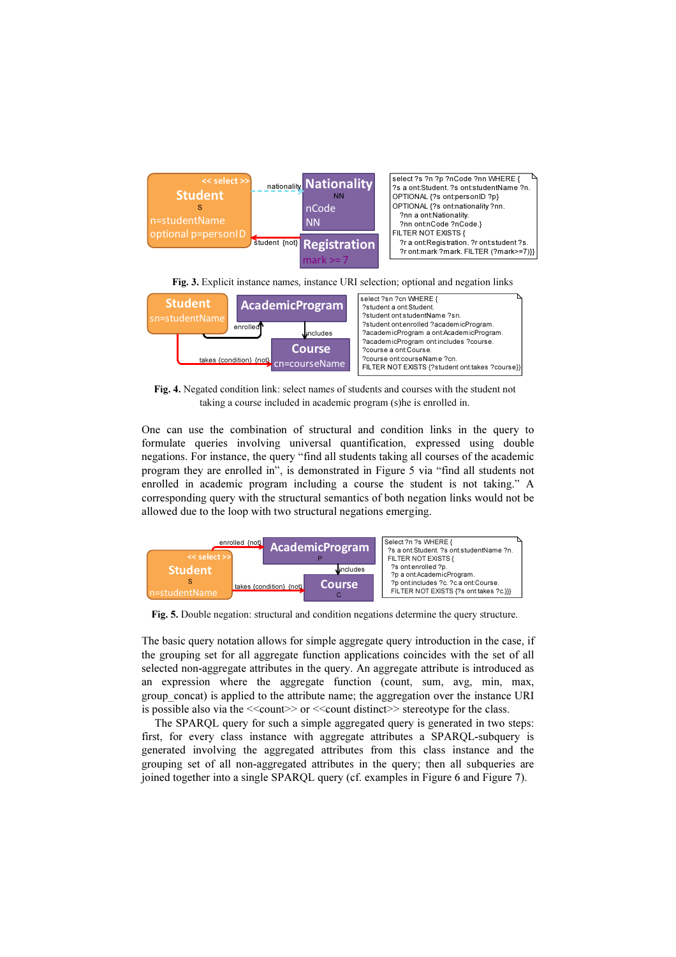





Fig. 4. Negated condition link: select names of students and courses with the student not taking a course included in academic program (s)he is enrolled in.

One can use the combination of structural and condition links in the query to formulate queries involving universal quantification, expressed using double negations. For instance, the query "find all students taking all courses of the academic program they are enrolled in", is demonstrated in Figure 5 via "find all students not enrolled in academic program including a course the student is not taking." A corresponding query with the structural semantics of both negation links would not be allowed due to the loop with two structural negations emerging.



Fig. 5. Double negation: structural and condition negations determine the query structure.

The basic query notation allows for simple aggregate query introduction in the case, if the grouping set for all aggregate function applications coincides with the set of all selected non-aggregate attributes in the query. An aggregate attribute is introduced as an expression where the aggregate function (count, sum, avg, min, max, group concat) is applied to the attribute name; the aggregation over the instance URI is possible also via the  $\le$  count $\ge$  or  $\le$  count distinct $\ge$  stereotype for the class.

The SPARQL query for such a simple aggregated query is generated in two steps: first, for every class instance with aggregate attributes a SPARQL-subquery is generated involving the aggregated attributes from this class instance and the grouping set of all non-aggregated attributes in the query; then all subqueries are joined together into a single SPARQL query (cf. examples in Figure 6 and Figure 7).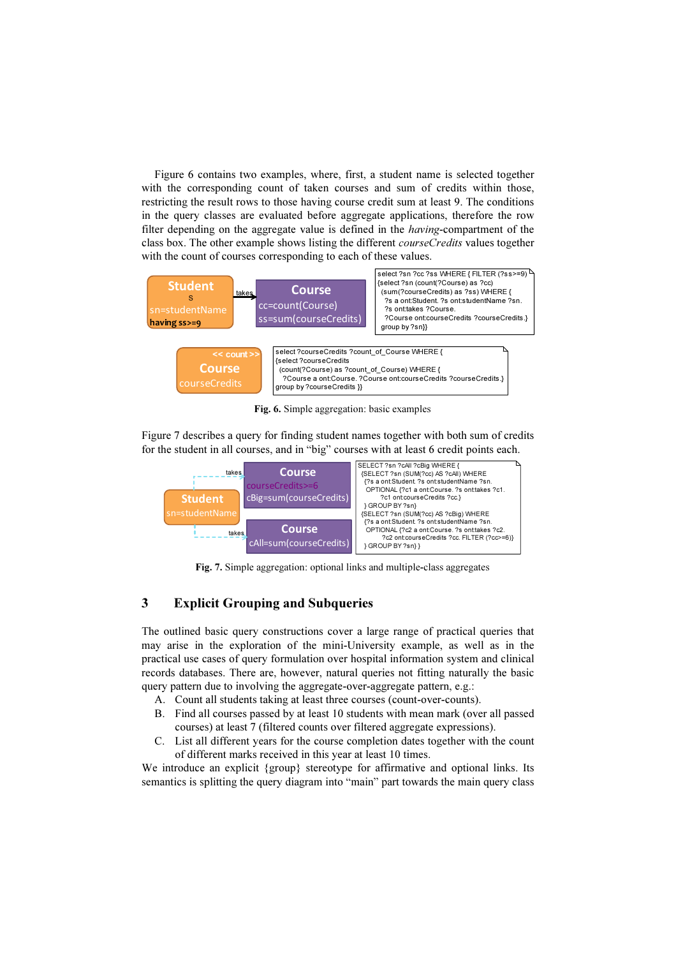Figure 6 contains two examples, where, first, a student name is selected together with the corresponding count of taken courses and sum of credits within those, restricting the result rows to those having course credit sum at least 9. The conditions in the query classes are evaluated before aggregate applications, therefore the row filter depending on the aggregate value is defined in the *having*-compartment of the class box. The other example shows listing the different *courseCredits* values together with the count of courses corresponding to each of these values.



Fig. 6. Simple aggregation: basic examples

Figure 7 describes a query for finding student names together with both sum of credits for the student in all courses, and in "big" courses with at least 6 credit points each.



Fig. 7. Simple aggregation: optional links and multiple-class aggregates

# 3 Explicit Grouping and Subqueries

The outlined basic query constructions cover a large range of practical queries that may arise in the exploration of the mini-University example, as well as in the practical use cases of query formulation over hospital information system and clinical records databases. There are, however, natural queries not fitting naturally the basic query pattern due to involving the aggregate-over-aggregate pattern, e.g.:

- A. Count all students taking at least three courses (count-over-counts).
- B. Find all courses passed by at least 10 students with mean mark (over all passed courses) at least 7 (filtered counts over filtered aggregate expressions).
- C. List all different years for the course completion dates together with the count of different marks received in this year at least 10 times.

We introduce an explicit {group} stereotype for affirmative and optional links. Its semantics is splitting the query diagram into "main" part towards the main query class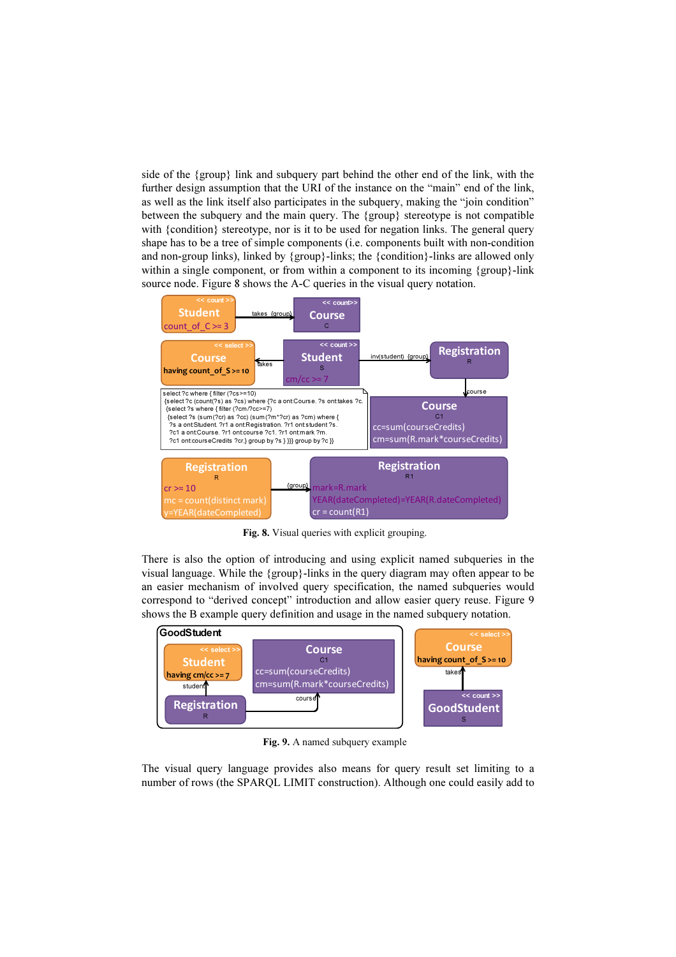side of the {group} link and subquery part behind the other end of the link, with the further design assumption that the URI of the instance on the "main" end of the link, as well as the link itself also participates in the subquery, making the "join condition" between the subquery and the main query. The {group} stereotype is not compatible with {condition} stereotype, nor is it to be used for negation links. The general query shape has to be a tree of simple components (i.e. components built with non-condition and non-group links), linked by {group}-links; the {condition}-links are allowed only within a single component, or from within a component to its incoming {group}-link source node. Figure 8 shows the A-C queries in the visual query notation.



Fig. 8. Visual queries with explicit grouping.

There is also the option of introducing and using explicit named subqueries in the visual language. While the {group}-links in the query diagram may often appear to be an easier mechanism of involved query specification, the named subqueries would correspond to "derived concept" introduction and allow easier query reuse. Figure 9 shows the B example query definition and usage in the named subquery notation.



Fig. 9. A named subquery example

The visual query language provides also means for query result set limiting to a number of rows (the SPARQL LIMIT construction). Although one could easily add to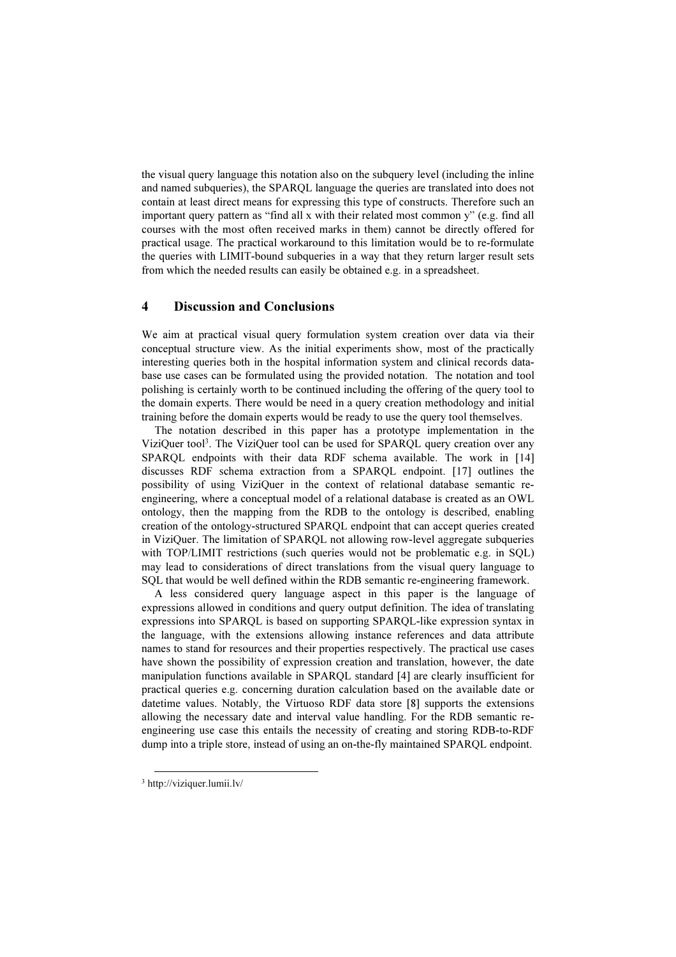the visual query language this notation also on the subquery level (including the inline and named subqueries), the SPARQL language the queries are translated into does not contain at least direct means for expressing this type of constructs. Therefore such an important query pattern as "find all x with their related most common y" (e.g. find all courses with the most often received marks in them) cannot be directly offered for practical usage. The practical workaround to this limitation would be to re-formulate the queries with LIMIT-bound subqueries in a way that they return larger result sets from which the needed results can easily be obtained e.g. in a spreadsheet.

# 4 Discussion and Conclusions

We aim at practical visual query formulation system creation over data via their conceptual structure view. As the initial experiments show, most of the practically interesting queries both in the hospital information system and clinical records database use cases can be formulated using the provided notation. The notation and tool polishing is certainly worth to be continued including the offering of the query tool to the domain experts. There would be need in a query creation methodology and initial training before the domain experts would be ready to use the query tool themselves.

The notation described in this paper has a prototype implementation in the ViziQuer tool<sup>3</sup>. The ViziQuer tool can be used for SPARQL query creation over any SPARQL endpoints with their data RDF schema available. The work in [14] discusses RDF schema extraction from a SPARQL endpoint. [17] outlines the possibility of using ViziQuer in the context of relational database semantic reengineering, where a conceptual model of a relational database is created as an OWL ontology, then the mapping from the RDB to the ontology is described, enabling creation of the ontology-structured SPARQL endpoint that can accept queries created in ViziQuer. The limitation of SPARQL not allowing row-level aggregate subqueries with TOP/LIMIT restrictions (such queries would not be problematic e.g. in SQL) may lead to considerations of direct translations from the visual query language to SQL that would be well defined within the RDB semantic re-engineering framework.

A less considered query language aspect in this paper is the language of expressions allowed in conditions and query output definition. The idea of translating expressions into SPARQL is based on supporting SPARQL-like expression syntax in the language, with the extensions allowing instance references and data attribute names to stand for resources and their properties respectively. The practical use cases have shown the possibility of expression creation and translation, however, the date manipulation functions available in SPARQL standard [4] are clearly insufficient for practical queries e.g. concerning duration calculation based on the available date or datetime values. Notably, the Virtuoso RDF data store [8] supports the extensions allowing the necessary date and interval value handling. For the RDB semantic reengineering use case this entails the necessity of creating and storing RDB-to-RDF dump into a triple store, instead of using an on-the-fly maintained SPARQL endpoint.

l

<sup>3</sup> http://viziquer.lumii.lv/